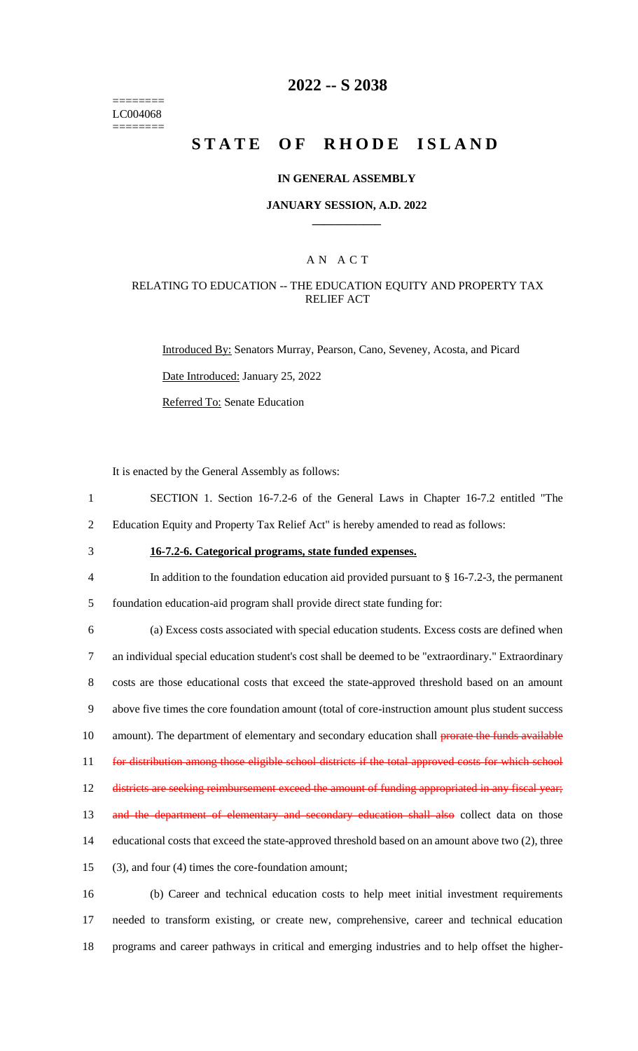======== LC004068 ========

## **2022 -- S 2038**

# **STATE OF RHODE ISLAND**

### **IN GENERAL ASSEMBLY**

#### **JANUARY SESSION, A.D. 2022 \_\_\_\_\_\_\_\_\_\_\_\_**

## A N A C T

### RELATING TO EDUCATION -- THE EDUCATION EQUITY AND PROPERTY TAX RELIEF ACT

Introduced By: Senators Murray, Pearson, Cano, Seveney, Acosta, and Picard

Date Introduced: January 25, 2022

Referred To: Senate Education

It is enacted by the General Assembly as follows:

- 1 SECTION 1. Section 16-7.2-6 of the General Laws in Chapter 16-7.2 entitled "The
- 2 Education Equity and Property Tax Relief Act" is hereby amended to read as follows:
- 

# 3 **16-7.2-6. Categorical programs, state funded expenses.**

4 In addition to the foundation education aid provided pursuant to § 16-7.2-3, the permanent

5 foundation education-aid program shall provide direct state funding for:

 (a) Excess costs associated with special education students. Excess costs are defined when an individual special education student's cost shall be deemed to be "extraordinary." Extraordinary costs are those educational costs that exceed the state-approved threshold based on an amount above five times the core foundation amount (total of core-instruction amount plus student success 10 amount). The department of elementary and secondary education shall prorate the funds available for distribution among those eligible school districts if the total approved costs for which school 12 districts are seeking reimbursement exceed the amount of funding appropriated in any fiscal year; 13 and the department of elementary and secondary education shall also collect data on those educational costs that exceed the state-approved threshold based on an amount above two (2), three (3), and four (4) times the core-foundation amount;

16 (b) Career and technical education costs to help meet initial investment requirements 17 needed to transform existing, or create new, comprehensive, career and technical education 18 programs and career pathways in critical and emerging industries and to help offset the higher-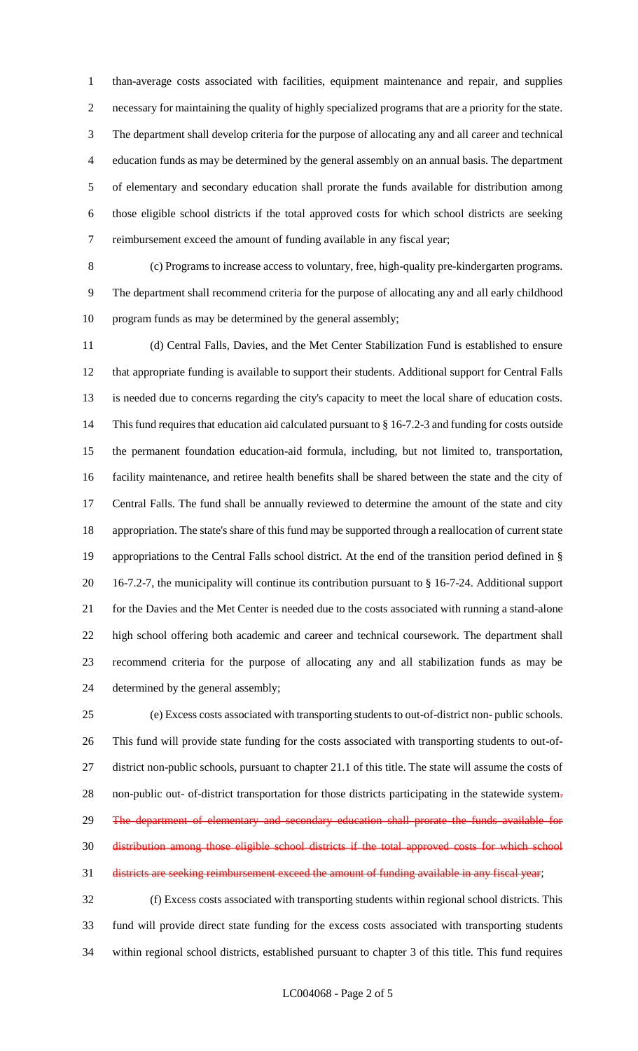than-average costs associated with facilities, equipment maintenance and repair, and supplies necessary for maintaining the quality of highly specialized programs that are a priority for the state. The department shall develop criteria for the purpose of allocating any and all career and technical education funds as may be determined by the general assembly on an annual basis. The department of elementary and secondary education shall prorate the funds available for distribution among those eligible school districts if the total approved costs for which school districts are seeking reimbursement exceed the amount of funding available in any fiscal year;

 (c) Programs to increase access to voluntary, free, high-quality pre-kindergarten programs. The department shall recommend criteria for the purpose of allocating any and all early childhood program funds as may be determined by the general assembly;

 (d) Central Falls, Davies, and the Met Center Stabilization Fund is established to ensure that appropriate funding is available to support their students. Additional support for Central Falls is needed due to concerns regarding the city's capacity to meet the local share of education costs. This fund requires that education aid calculated pursuant to § 16-7.2-3 and funding for costs outside the permanent foundation education-aid formula, including, but not limited to, transportation, facility maintenance, and retiree health benefits shall be shared between the state and the city of Central Falls. The fund shall be annually reviewed to determine the amount of the state and city appropriation. The state's share of this fund may be supported through a reallocation of current state appropriations to the Central Falls school district. At the end of the transition period defined in § 16-7.2-7, the municipality will continue its contribution pursuant to § 16-7-24. Additional support for the Davies and the Met Center is needed due to the costs associated with running a stand-alone high school offering both academic and career and technical coursework. The department shall recommend criteria for the purpose of allocating any and all stabilization funds as may be determined by the general assembly;

 (e) Excess costs associated with transporting students to out-of-district non- public schools. This fund will provide state funding for the costs associated with transporting students to out-of- district non-public schools, pursuant to chapter 21.1 of this title. The state will assume the costs of non-public out- of-district transportation for those districts participating in the statewide system. 29 The department of elementary and secondary education shall prorate the funds available for distribution among those eligible school districts if the total approved costs for which school districts are seeking reimbursement exceed the amount of funding available in any fiscal year;

 (f) Excess costs associated with transporting students within regional school districts. This fund will provide direct state funding for the excess costs associated with transporting students within regional school districts, established pursuant to chapter 3 of this title. This fund requires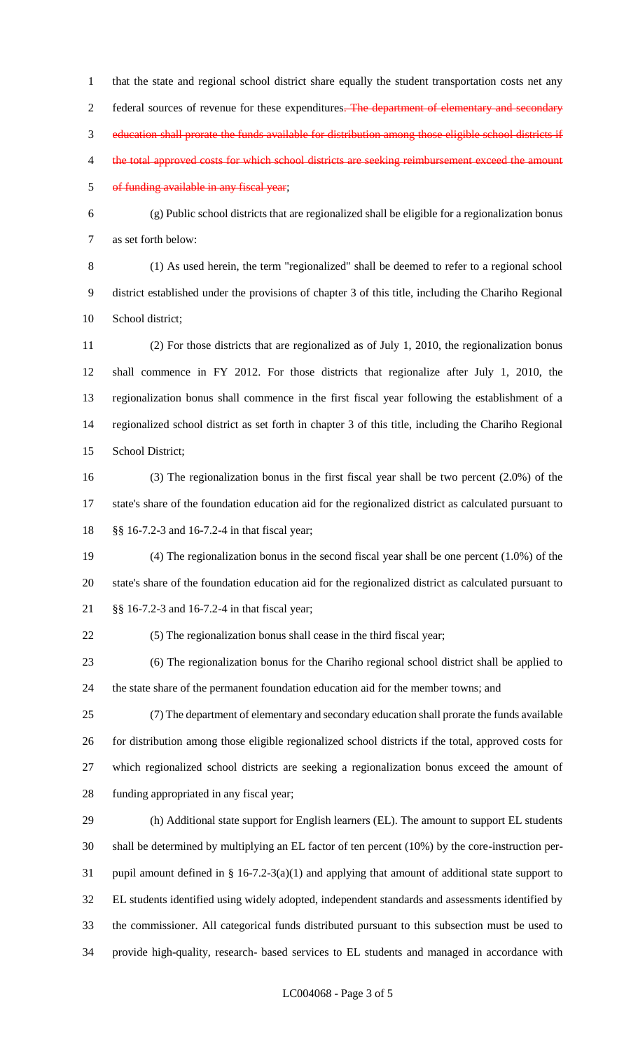that the state and regional school district share equally the student transportation costs net any 2 federal sources of revenue for these expenditures. The department of elementary and secondary education shall prorate the funds available for distribution among those eligible school districts if 4 the total approved costs for which school districts are seeking reimbursement exceed the amount of funding available in any fiscal year;

 (g) Public school districts that are regionalized shall be eligible for a regionalization bonus as set forth below:

 (1) As used herein, the term "regionalized" shall be deemed to refer to a regional school district established under the provisions of chapter 3 of this title, including the Chariho Regional School district;

 (2) For those districts that are regionalized as of July 1, 2010, the regionalization bonus shall commence in FY 2012. For those districts that regionalize after July 1, 2010, the regionalization bonus shall commence in the first fiscal year following the establishment of a regionalized school district as set forth in chapter 3 of this title, including the Chariho Regional School District;

 (3) The regionalization bonus in the first fiscal year shall be two percent (2.0%) of the state's share of the foundation education aid for the regionalized district as calculated pursuant to §§ 16-7.2-3 and 16-7.2-4 in that fiscal year;

 (4) The regionalization bonus in the second fiscal year shall be one percent (1.0%) of the state's share of the foundation education aid for the regionalized district as calculated pursuant to §§ 16-7.2-3 and 16-7.2-4 in that fiscal year;

(5) The regionalization bonus shall cease in the third fiscal year;

 (6) The regionalization bonus for the Chariho regional school district shall be applied to the state share of the permanent foundation education aid for the member towns; and

 (7) The department of elementary and secondary education shall prorate the funds available for distribution among those eligible regionalized school districts if the total, approved costs for which regionalized school districts are seeking a regionalization bonus exceed the amount of funding appropriated in any fiscal year;

 (h) Additional state support for English learners (EL). The amount to support EL students shall be determined by multiplying an EL factor of ten percent (10%) by the core-instruction per- pupil amount defined in § 16-7.2-3(a)(1) and applying that amount of additional state support to EL students identified using widely adopted, independent standards and assessments identified by the commissioner. All categorical funds distributed pursuant to this subsection must be used to provide high-quality, research- based services to EL students and managed in accordance with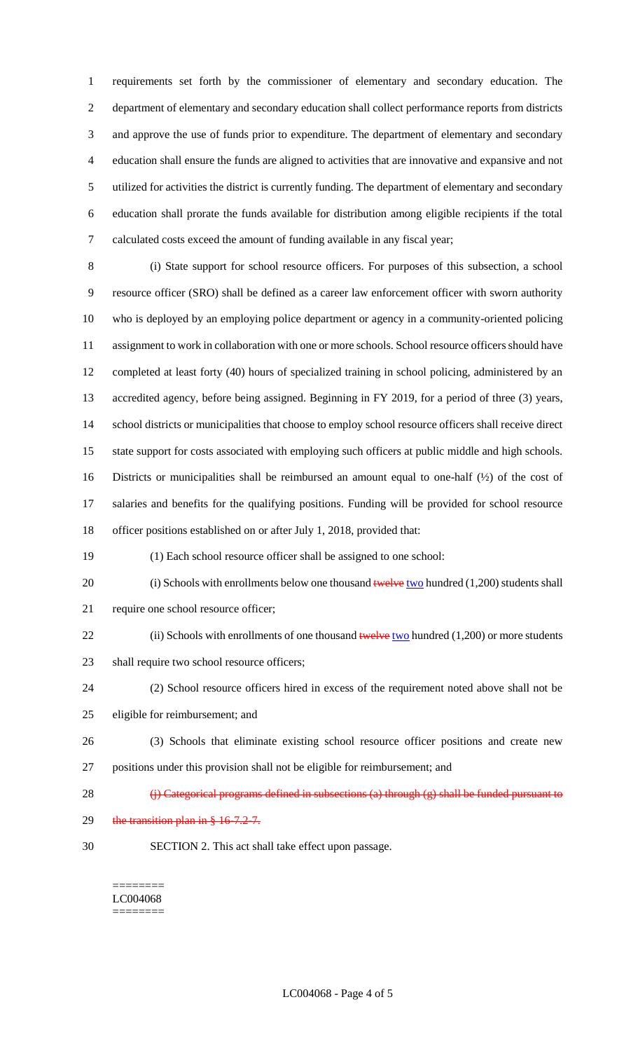requirements set forth by the commissioner of elementary and secondary education. The department of elementary and secondary education shall collect performance reports from districts and approve the use of funds prior to expenditure. The department of elementary and secondary education shall ensure the funds are aligned to activities that are innovative and expansive and not utilized for activities the district is currently funding. The department of elementary and secondary education shall prorate the funds available for distribution among eligible recipients if the total calculated costs exceed the amount of funding available in any fiscal year;

 (i) State support for school resource officers. For purposes of this subsection, a school resource officer (SRO) shall be defined as a career law enforcement officer with sworn authority who is deployed by an employing police department or agency in a community-oriented policing assignment to work in collaboration with one or more schools. School resource officers should have completed at least forty (40) hours of specialized training in school policing, administered by an accredited agency, before being assigned. Beginning in FY 2019, for a period of three (3) years, school districts or municipalities that choose to employ school resource officers shall receive direct state support for costs associated with employing such officers at public middle and high schools. Districts or municipalities shall be reimbursed an amount equal to one-half (½) of the cost of salaries and benefits for the qualifying positions. Funding will be provided for school resource officer positions established on or after July 1, 2018, provided that:

(1) Each school resource officer shall be assigned to one school:

20 (i) Schools with enrollments below one thousand  $t$  welve two hundred (1,200) students shall require one school resource officer;

- 22 (ii) Schools with enrollments of one thousand  $t$ welve two hundred (1,200) or more students
- 23 shall require two school resource officers;
- (2) School resource officers hired in excess of the requirement noted above shall not be eligible for reimbursement; and
- (3) Schools that eliminate existing school resource officer positions and create new positions under this provision shall not be eligible for reimbursement; and
- 28  $\left\langle \right\rangle$  Categorical programs defined in subsections (a) through (g) shall be funded pursuant to
- 29 the transition plan in  $§$  16-7.2-7.
- SECTION 2. This act shall take effect upon passage.

======== LC004068 ========